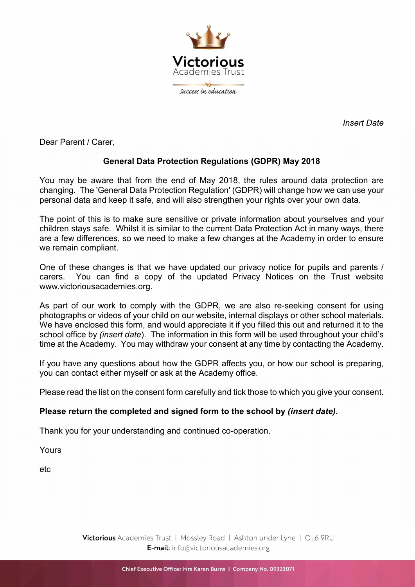

Insert Date

Dear Parent / Carer,

## General Data Protection Regulations (GDPR) May 2018

You may be aware that from the end of May 2018, the rules around data protection are changing. The 'General Data Protection Regulation' (GDPR) will change how we can use your personal data and keep it safe, and will also strengthen your rights over your own data.

The point of this is to make sure sensitive or private information about yourselves and your children stays safe. Whilst it is similar to the current Data Protection Act in many ways, there are a few differences, so we need to make a few changes at the Academy in order to ensure we remain compliant.

One of these changes is that we have updated our privacy notice for pupils and parents / carers. You can find a copy of the updated Privacy Notices on the Trust website www.victoriousacademies.org.

As part of our work to comply with the GDPR, we are also re-seeking consent for using photographs or videos of your child on our website, internal displays or other school materials. We have enclosed this form, and would appreciate it if you filled this out and returned it to the school office by *(insert date)*. The information in this form will be used throughout your child's time at the Academy. You may withdraw your consent at any time by contacting the Academy.

If you have any questions about how the GDPR affects you, or how our school is preparing, you can contact either myself or ask at the Academy office.

Please read the list on the consent form carefully and tick those to which you give your consent.

### Please return the completed and signed form to the school by (insert date).

Thank you for your understanding and continued co-operation.

Yours

etc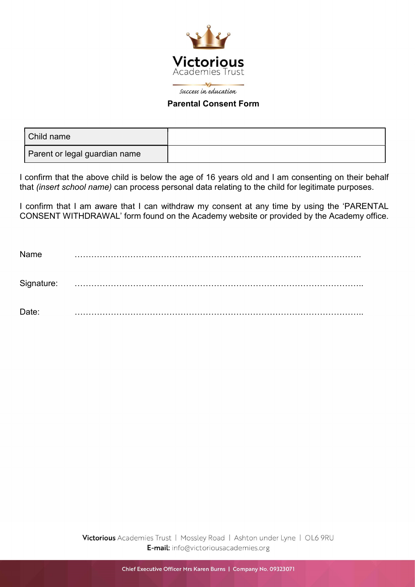

### Parental Consent Form

| Child name                    |  |
|-------------------------------|--|
| Parent or legal guardian name |  |

I confirm that the above child is below the age of 16 years old and I am consenting on their behalf that (insert school name) can process personal data relating to the child for legitimate purposes.

I confirm that I am aware that I can withdraw my consent at any time by using the 'PARENTAL CONSENT WITHDRAWAL' form found on the Academy website or provided by the Academy office.

| Name       |  |
|------------|--|
| Signature: |  |
| Date:      |  |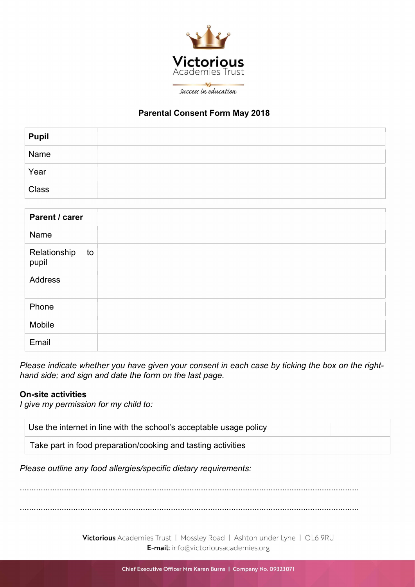

## Parental Consent Form May 2018

| <b>Pupil</b> |  |
|--------------|--|
| Name         |  |
| Year         |  |
| Class        |  |

| Parent / carer              |  |
|-----------------------------|--|
| Name                        |  |
| Relationship<br>to<br>pupil |  |
| <b>Address</b>              |  |
| Phone                       |  |
| Mobile                      |  |
| Email                       |  |

Please indicate whether you have given your consent in each case by ticking the box on the righthand side; and sign and date the form on the last page.

#### On-site activities

I give my permission for my child to:

| Use the internet in line with the school's acceptable usage policy |  |
|--------------------------------------------------------------------|--|
| Take part in food preparation/cooking and tasting activities       |  |

Please outline any food allergies/specific dietary requirements:

..................................................................................................................................................

..................................................................................................................................................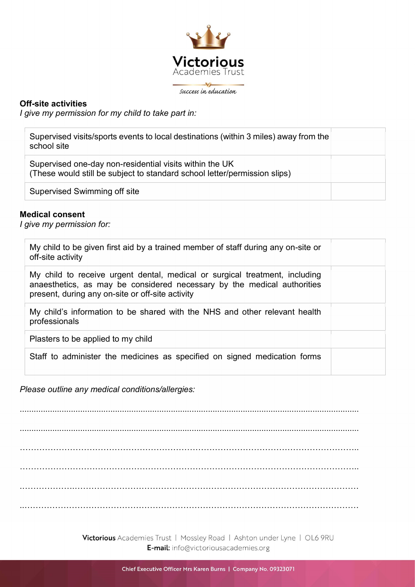

## Off-site activities

I give my permission for my child to take part in:

| Supervised visits/sports events to local destinations (within 3 miles) away from the<br>school site                                  |  |
|--------------------------------------------------------------------------------------------------------------------------------------|--|
| Supervised one-day non-residential visits within the UK<br>(These would still be subject to standard school letter/permission slips) |  |
| Supervised Swimming off site                                                                                                         |  |

### Medical consent

I give my permission for:

| My child to be given first aid by a trained member of staff during any on-site or<br>off-site activity                                                                                                     |  |
|------------------------------------------------------------------------------------------------------------------------------------------------------------------------------------------------------------|--|
| My child to receive urgent dental, medical or surgical treatment, including<br>anaesthetics, as may be considered necessary by the medical authorities<br>present, during any on-site or off-site activity |  |
| My child's information to be shared with the NHS and other relevant health<br>professionals                                                                                                                |  |
| Plasters to be applied to my child                                                                                                                                                                         |  |
| Staff to administer the medicines as specified on signed medication forms                                                                                                                                  |  |

Please outline any medical conditions/allergies:

.................................................................................................................................................. ..................................................................................................................................................  $\mathcal{L}^{\text{max}}_{\text{max}}$ ………………………………………………………………………………………………………….. .……………….………………………………………………………………………………………… ..…………………………………………………………………………………………………………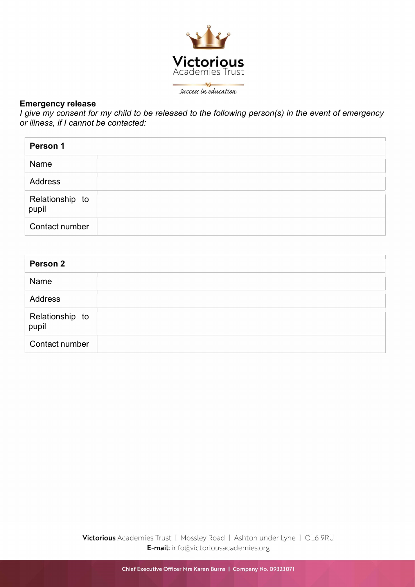

## Emergency release

I give my consent for my child to be released to the following person(s) in the event of emergency or illness, if I cannot be contacted:

| Person 1                 |  |
|--------------------------|--|
| Name                     |  |
| <b>Address</b>           |  |
| Relationship to<br>pupil |  |
| Contact number           |  |

| Person 2                 |  |
|--------------------------|--|
| Name                     |  |
| <b>Address</b>           |  |
| Relationship to<br>pupil |  |
| Contact number           |  |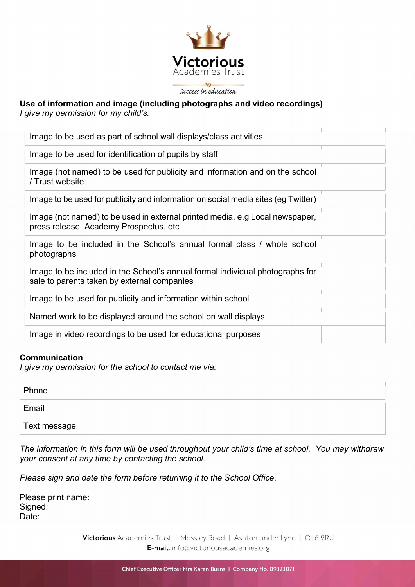

## Use of information and image (including photographs and video recordings)

I give my permission for my child's:

| Image to be used as part of school wall displays/class activities                                                            |  |
|------------------------------------------------------------------------------------------------------------------------------|--|
| Image to be used for identification of pupils by staff                                                                       |  |
| Image (not named) to be used for publicity and information and on the school<br>/ Trust website                              |  |
| Image to be used for publicity and information on social media sites (eg Twitter)                                            |  |
| Image (not named) to be used in external printed media, e.g Local newspaper,<br>press release, Academy Prospectus, etc       |  |
| Image to be included in the School's annual formal class / whole school<br>photographs                                       |  |
| Image to be included in the School's annual formal individual photographs for<br>sale to parents taken by external companies |  |
| Image to be used for publicity and information within school                                                                 |  |
| Named work to be displayed around the school on wall displays                                                                |  |
| Image in video recordings to be used for educational purposes                                                                |  |

### **Communication**

I give my permission for the school to contact me via:

| Phone        |  |
|--------------|--|
| Email        |  |
| Text message |  |

The information in this form will be used throughout your child's time at school. You may withdraw your consent at any time by contacting the school.

Please sign and date the form before returning it to the School Office.

Please print name: Signed: Date: